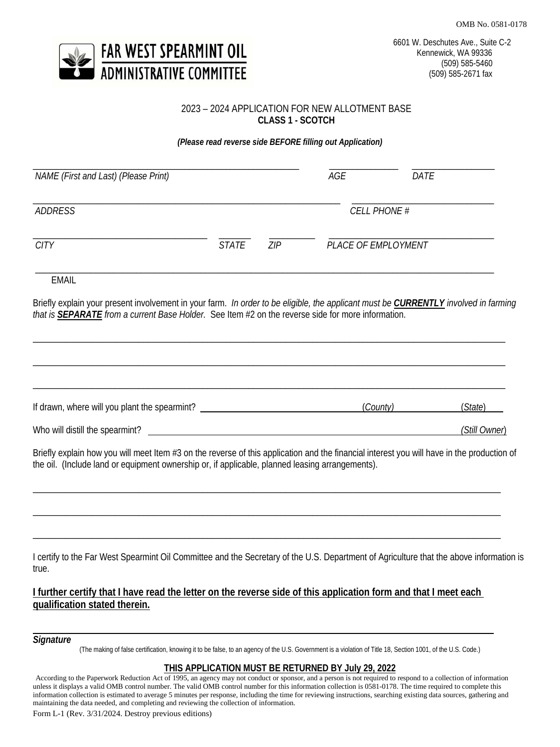OMB No. 0581-0178



## 2023 – 2024 APPLICATION FOR NEW ALLOTMENT BASE **CLASS 1 - SCOTCH**

*(Please read reverse side BEFORE filling out Application)*

| NAME (First and Last) (Please Print) |       |     | AGE                 | DATE |  |
|--------------------------------------|-------|-----|---------------------|------|--|
| <b>ADDRESS</b>                       |       |     | <b>CELL PHONE #</b> |      |  |
| <b>CITY</b>                          | STATE | ZIP | PLACE OF EMPLOYMENT |      |  |

EMAIL

Briefly explain your present involvement in your farm. *In order to be eligible, the applicant must be CURRENTLY involved in farming that is SEPARATE from a current Base Holder.* See Item #2 on the reverse side for more information.

\_\_\_\_\_\_\_\_\_\_\_\_\_\_\_\_\_\_\_\_\_\_\_\_\_\_\_\_\_\_\_\_\_\_\_\_\_\_\_\_\_\_\_\_\_\_\_\_\_\_\_\_\_\_\_\_\_\_\_\_\_\_\_\_\_\_\_\_\_\_\_\_\_\_\_\_\_\_\_\_\_\_\_\_\_\_\_\_\_\_\_\_\_\_\_\_\_\_\_\_\_\_\_

| If drawn, where will you plant the spearmint? | (County) | (State)       |
|-----------------------------------------------|----------|---------------|
| Who will distill the spearmint?               |          | (Still Owner) |

Briefly explain how you will meet Item #3 on the reverse of this application and the financial interest you will have in the production of the oil. (Include land or equipment ownership or, if applicable, planned leasing arrangements).

\_\_\_\_\_\_\_\_\_\_\_\_\_\_\_\_\_\_\_\_\_\_\_\_\_\_\_\_\_\_\_\_\_\_\_\_\_\_\_\_\_\_\_\_\_\_\_\_\_\_\_\_\_\_\_\_\_\_\_\_\_\_\_\_\_\_\_\_\_\_\_\_\_\_\_\_\_\_\_\_\_\_\_\_\_\_\_\_\_\_\_\_\_\_\_\_\_\_\_\_\_\_

\_\_\_\_\_\_\_\_\_\_\_\_\_\_\_\_\_\_\_\_\_\_\_\_\_\_\_\_\_\_\_\_\_\_\_\_\_\_\_\_\_\_\_\_\_\_\_\_\_\_\_\_\_\_\_\_\_\_\_\_\_\_\_\_\_\_\_\_\_\_\_\_\_\_\_\_\_\_\_\_\_\_\_\_\_\_\_\_\_\_\_\_\_\_\_\_\_\_\_\_\_\_

\_\_\_\_\_\_\_\_\_\_\_\_\_\_\_\_\_\_\_\_\_\_\_\_\_\_\_\_\_\_\_\_\_\_\_\_\_\_\_\_\_\_\_\_\_\_\_\_\_\_\_\_\_\_\_\_\_\_\_\_\_\_\_\_\_\_\_\_\_\_\_\_\_\_\_\_\_\_\_\_\_\_\_\_\_\_\_\_\_\_\_\_\_\_\_\_\_\_\_\_\_\_

I certify to the Far West Spearmint Oil Committee and the Secretary of the U.S. Department of Agriculture that the above information is true.

# **I further certify that I have read the letter on the reverse side of this application form and that I meet each qualification stated therein.**

## *Signature*

(The making of false certification, knowing it to be false, to an agency of the U.S. Government is a violation of Title 18, Section 1001, of the U.S. Code.)

### **THIS APPLICATION MUST BE RETURNED BY July 29, 2022**

According to the Paperwork Reduction Act of 1995, an agency may not conduct or sponsor, and a person is not required to respond to a collection of information unless it displays a valid OMB control number. The valid OMB control number for this information collection is 0581-0178. The time required to complete this information collection is estimated to average 5 minutes per response, including the time for reviewing instructions, searching existing data sources, gathering and maintaining the data needed, and completing and reviewing the collection of information.

Form L-1 (Rev. 3/31/2024. Destroy previous editions)